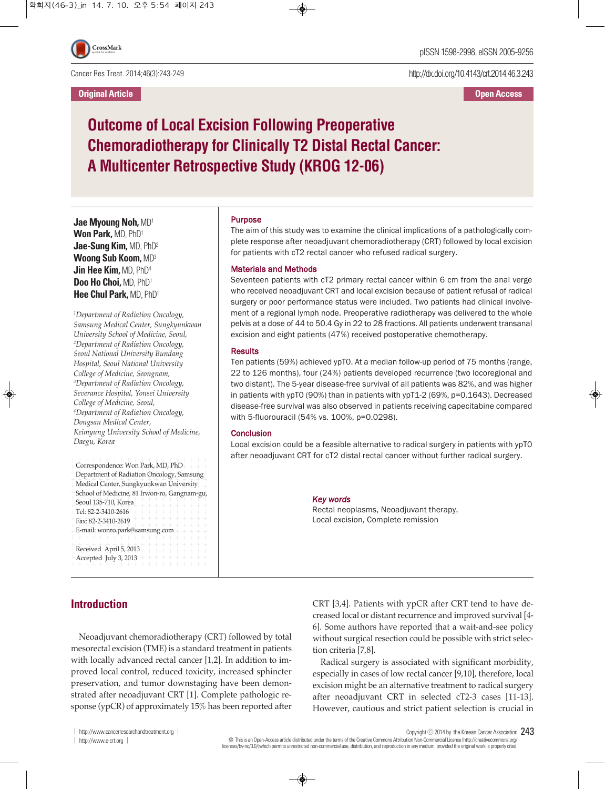Cancer Res Treat. 2014;46(3):243-249

**Original Article Open Access**

http://dx.doi.org/10.4143/crt.2014.46.3.243

# **Outcome of Local Excision Following Preoperative Chemoradiotherapy for Clinically T2 Distal Rectal Cancer: A Multicenter Retrospective Study (KROG 12-06)**

**Jae Myoung Noh,** MD1 **Won Park,** MD, PhD1 **Jae-Sung Kim,** MD, PhD2 **Woong Sub Koom,** MD3 **Jin Hee Kim,** MD, PhD4 **Doo Ho Choi,** MD, PhD1 **Hee Chul Park,** MD, PhD1

*1 Department of Radiation Oncology, Samsung Medical Center, Sungkyunkwan University School of Medicine, Seoul, 2 Department of Radiation Oncology, Seoul National University Bundang Hospital, Seoul National University College of Medicine, Seongnam, 3 Department of Radiation Oncology, Severance Hospital, Yonsei University College of Medicine, Seoul, 4 Department of Radiation Oncology, Dongsan Medical Center, Keimyung University School of Medicine, Daegu, Korea*

| Correspondence: Won Park, MD, PhD<br>Department of Radiation Oncology, Samsung<br>Medical Center, Sungkyunkwan University<br>School of Medicine, 81 Irwon-ro, Gangnam-gu,<br>Seoul 135-710, Korea<br>Tel: 82-2-3410-2616 |
|--------------------------------------------------------------------------------------------------------------------------------------------------------------------------------------------------------------------------|
| Fax: 82-2-3410-2619<br>$+ + + +$<br>E-mail: wonro.park@samsung.com $++++$                                                                                                                                                |
| Received April 5, 2013<br>---<br>Accepted July 3, 2013                                                                                                                                                                   |

## Purpose

The aim of this study was to examine the clinical implications of a pathologically complete response after neoadjuvant chemoradiotherapy (CRT) followed by local excision for patients with cT2 rectal cancer who refused radical surgery.

## Materials and Methods

Seventeen patients with cT2 primary rectal cancer within 6 cm from the anal verge who received neoadjuvant CRT and local excision because of patient refusal of radical surgery or poor performance status were included. Two patients had clinical involvement of a regional lymph node. Preoperative radiotherapy was delivered to the whole pelvis at a dose of 44 to 50.4 Gy in 22 to 28 fractions. All patients underwent transanal excision and eight patients (47%) received postoperative chemotherapy.

#### **Results**

Ten patients (59%) achieved ypT0. At a median follow-up period of 75 months (range, 22 to 126 months), four (24%) patients developed recurrence (two locoregional and two distant). The 5-year disease-free survival of all patients was 82%, and was higher in patients with ypT0 (90%) than in patients with ypT1-2 (69%, p=0.1643). Decreased disease-free survival was also observed in patients receiving capecitabine compared with 5-fluorouracil (54% vs. 100%, p=0.0298).

## **Conclusion**

Local excision could be a feasible alternative to radical surgery in patients with ypT0 after neoadjuvant CRT for cT2 distal rectal cancer without further radical surgery.

#### *Key words*

Rectal neoplasms, Neoadjuvant therapy, Local excision, Complete remission

# **Introduction**

Neoadjuvant chemoradiotherapy (CRT) followed by total mesorectal excision (TME) is a standard treatment in patients with locally advanced rectal cancer [1,2]. In addition to improved local control, reduced toxicity, increased sphincter preservation, and tumor downstaging have been demonstrated after neoadjuvant CRT [1]. Complete pathologic response (ypCR) of approximately 15% has been reported after CRT [3,4]. Patients with ypCR after CRT tend to have decreased local or distant recurrence and improved survival [4- 6]. Some authors have reported that a wait-and-see policy without surgical resection could be possible with strict selection criteria [7,8].

Radical surgery is associated with significant morbidity, especially in cases of low rectal cancer [9,10], therefore, local excision might be an alternative treatment to radical surgery after neoadjuvant CRT in selected cT2-3 cases [11-13]. However, cautious and strict patient selection is crucial in

Copyright  $\odot$  2014 by the Korean Cancer Association 243

Thisis an Open-Access article distributed under the terms of the Creative Commons Attribution Non-CommercialLicense (http://creativecommons.org/ licenses/by-nc/3.0//which permits unrestricted non-commercial use, distribution, and reproduction in any medium, provided the original work is properly cited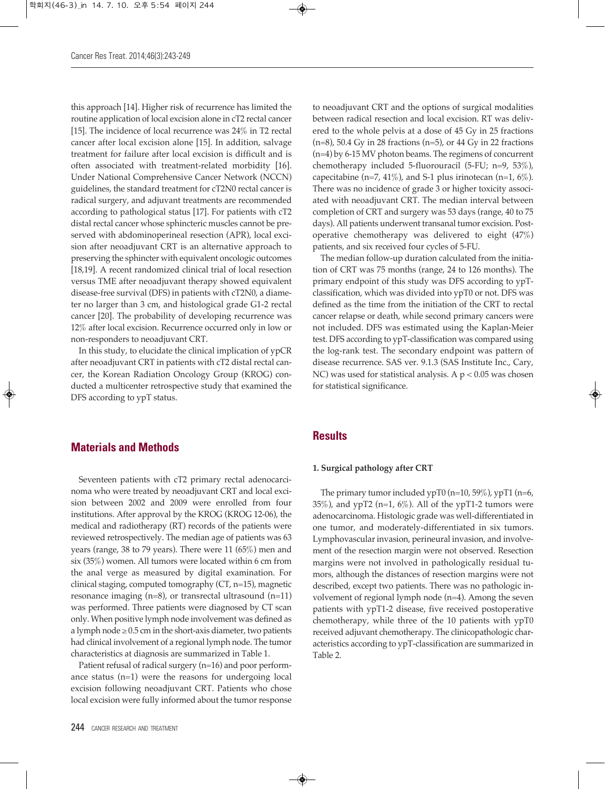this approach [14]. Higher risk of recurrence has limited the routine application of local excision alone in cT2 rectal cancer [15]. The incidence of local recurrence was 24% in T2 rectal cancer after local excision alone [15]. In addition, salvage treatment for failure after local excision is difficult and is often associated with treatment-related morbidity [16]. Under National Comprehensive Cancer Network (NCCN) guidelines, the standard treatment for cT2N0 rectal cancer is radical surgery, and adjuvant treatments are recommended according to pathological status [17]. For patients with cT2 distal rectal cancer whose sphincteric muscles cannot be preserved with abdominoperineal resection (APR), local excision after neoadjuvant CRT is an alternative approach to preserving the sphincter with equivalent oncologic outcomes [18,19]. A recent randomized clinical trial of local resection versus TME after neoadjuvant therapy showed equivalent disease-free survival (DFS) in patients with cT2N0, a diameter no larger than 3 cm, and histological grade G1-2 rectal cancer [20]. The probability of developing recurrence was 12% after local excision. Recurrence occurred only in low or non-responders to neoadjuvant CRT.

In this study, to elucidate the clinical implication of ypCR after neoadjuvant CRT in patients with cT2 distal rectal cancer, the Korean Radiation Oncology Group (KROG) conducted a multicenter retrospective study that examined the DFS according to ypT status.

## **Materials and Methods**

Seventeen patients with cT2 primary rectal adenocarcinoma who were treated by neoadjuvant CRT and local excision between 2002 and 2009 were enrolled from four institutions. After approval by the KROG (KROG 12-06), the medical and radiotherapy (RT) records of the patients were reviewed retrospectively. The median age of patients was 63 years (range, 38 to 79 years). There were 11 (65%) men and six (35%) women. All tumors were located within 6 cm from the anal verge as measured by digital examination. For clinical staging, computed tomography (CT, n=15), magnetic resonance imaging (n=8), or transrectal ultrasound (n=11) was performed. Three patients were diagnosed by CT scan only. When positive lymph node involvement was defined as a lymph node  $\geq 0.5$  cm in the short-axis diameter, two patients had clinical involvement of a regional lymph node. The tumor characteristics at diagnosis are summarized in Table 1.

Patient refusal of radical surgery (n=16) and poor performance status (n=1) were the reasons for undergoing local excision following neoadjuvant CRT. Patients who chose local excision were fully informed about the tumor response

to neoadjuvant CRT and the options of surgical modalities between radical resection and local excision. RT was delivered to the whole pelvis at a dose of 45 Gy in 25 fractions  $(n=8)$ , 50.4 Gy in 28 fractions  $(n=5)$ , or 44 Gy in 22 fractions (n=4) by 6-15 MV photon beams. The regimens of concurrent chemotherapy included 5-fluorouracil (5-FU; n=9, 53%), capecitabine (n=7, 41%), and S-1 plus irinotecan (n=1,  $6\%$ ). There was no incidence of grade 3 or higher toxicity associated with neoadjuvant CRT. The median interval between completion of CRT and surgery was 53 days (range, 40 to 75 days). All patients underwent transanal tumor excision. Postoperative chemotherapy was delivered to eight (47%) patients, and six received four cycles of 5-FU.

The median follow-up duration calculated from the initiation of CRT was 75 months (range, 24 to 126 months). The primary endpoint of this study was DFS according to ypTclassification, which was divided into ypT0 or not. DFS was defined as the time from the initiation of the CRT to rectal cancer relapse or death, while second primary cancers were not included. DFS was estimated using the Kaplan-Meier test. DFS according to ypT-classification was compared using the log-rank test. The secondary endpoint was pattern of disease recurrence. SAS ver. 9.1.3 (SAS Institute Inc., Cary, NC) was used for statistical analysis. A  $p < 0.05$  was chosen for statistical significance.

## **Results**

## **1. Surgical pathology after CRT**

The primary tumor included ypT0 (n=10, 59%), ypT1 (n=6, 35%), and ypT2 (n=1, 6%). All of the ypT1-2 tumors were adenocarcinoma. Histologic grade was well-differentiated in one tumor, and moderately-differentiated in six tumors. Lymphovascular invasion, perineural invasion, and involvement of the resection margin were not observed. Resection margins were not involved in pathologically residual tumors, although the distances of resection margins were not described, except two patients. There was no pathologic involvement of regional lymph node (n=4). Among the seven patients with ypT1-2 disease, five received postoperative chemotherapy, while three of the 10 patients with ypT0 received adjuvant chemotherapy. The clinicopathologic characteristics according to ypT-classification are summarized in Table 2.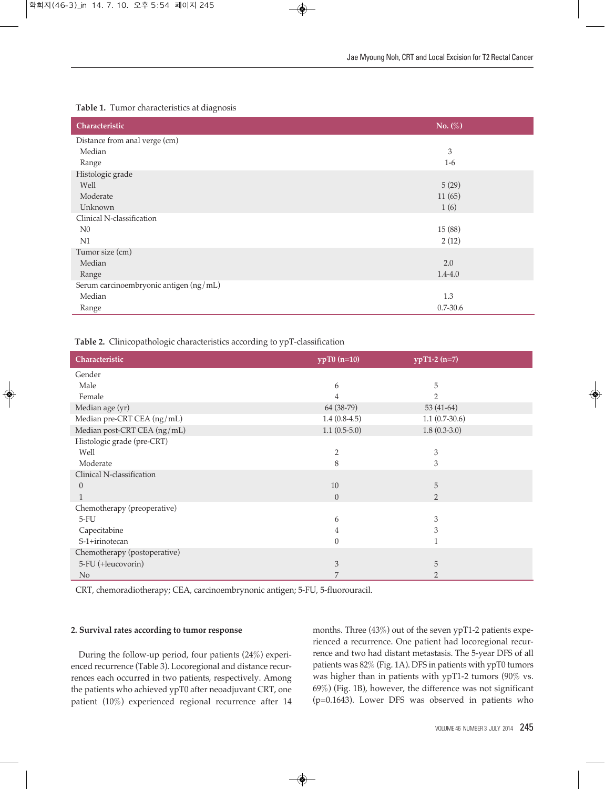## **Table 1.** Tumor characteristics at diagnosis

| Characteristic                         | No. $(\%)$   |
|----------------------------------------|--------------|
| Distance from anal verge (cm)          |              |
| Median                                 | 3            |
| Range                                  | $1-6$        |
| Histologic grade                       |              |
| Well                                   | 5(29)        |
| Moderate                               | 11(65)       |
| Unknown                                | 1(6)         |
| Clinical N-classification              |              |
| N <sub>0</sub>                         | 15(88)       |
| N1                                     | 2(12)        |
| Tumor size (cm)                        |              |
| Median                                 | 2.0          |
| Range                                  | $1.4 - 4.0$  |
| Serum carcinoembryonic antigen (ng/mL) |              |
| Median                                 | 1.3          |
| Range                                  | $0.7 - 30.6$ |

**Table 2.** Clinicopathologic characteristics according to ypT-classification

| Characteristic               | $ypT0(n=10)$   | $ypT1-2(n=7)$   |
|------------------------------|----------------|-----------------|
| Gender                       |                |                 |
| Male                         | 6              | 5               |
| Female                       | 4              | $\mathcal{P}$   |
| Median age (yr)              | 64 (38-79)     | 53 (41-64)      |
| Median pre-CRT CEA (ng/mL)   | $1.4(0.8-4.5)$ | $1.1(0.7-30.6)$ |
| Median post-CRT CEA (ng/mL)  | $1.1(0.5-5.0)$ | $1.8(0.3-3.0)$  |
| Histologic grade (pre-CRT)   |                |                 |
| Well                         | $\overline{2}$ | 3               |
| Moderate                     | 8              | 3               |
| Clinical N-classification    |                |                 |
| $\theta$                     | 10             | 5               |
|                              | $\overline{0}$ | 2               |
| Chemotherapy (preoperative)  |                |                 |
| $5-FU$                       | 6              | 3               |
| Capecitabine                 | 4              | 3               |
| S-1+irinotecan               | $\left($       |                 |
| Chemotherapy (postoperative) |                |                 |
| 5-FU (+leucovorin)           | 3              | 5               |
| N <sub>0</sub>               | 7              | $\mathfrak{D}$  |

CRT, chemoradiotherapy; CEA, carcinoembrynonic antigen; 5-FU, 5-fluorouracil.

## **2. Survival rates according to tumor response**

During the follow-up period, four patients (24%) experienced recurrence (Table 3). Locoregional and distance recurrences each occurred in two patients, respectively. Among the patients who achieved ypT0 after neoadjuvant CRT, one patient (10%) experienced regional recurrence after 14 months. Three (43%) out of the seven ypT1-2 patients experienced a recurrence. One patient had locoregional recurrence and two had distant metastasis. The 5-year DFS of all patients was 82% (Fig. 1A). DFS in patients with ypT0 tumors was higher than in patients with ypT1-2 tumors (90% vs. 69%) (Fig. 1B), however, the difference was not significant (p=0.1643). Lower DFS was observed in patients who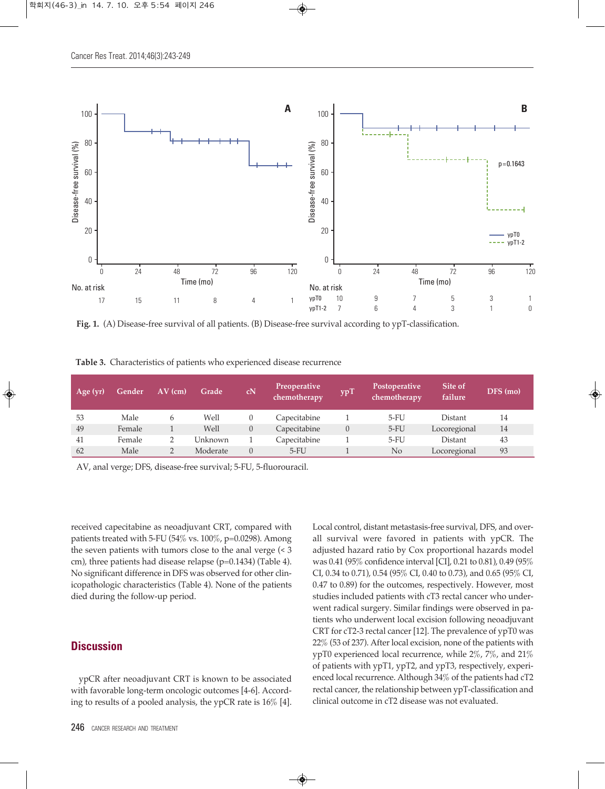

**Fig. 1.** (A) Disease-free survival of all patients. (B) Disease-free survival according to ypT-classification.

| Table 3. Characteristics of patients who experienced disease recurrence |  |  |  |
|-------------------------------------------------------------------------|--|--|--|
|-------------------------------------------------------------------------|--|--|--|

| Age $(yr)$ | Gender | $AV$ (cm) | Grade    | cN | Preoperative<br>chemotherapy | ypT            | Postoperative<br>chemotherapy | Site of<br>failure | DFS (mo) |
|------------|--------|-----------|----------|----|------------------------------|----------------|-------------------------------|--------------------|----------|
| 53         | Male   | 6         | Well     |    | Capecitabine                 |                | $5-FU$                        | Distant            | 14       |
| 49         | Female |           | Well     |    | Capecitabine                 | $\overline{0}$ | $5-FU$                        | Locoregional       | 14       |
| 41         | Female |           | Unknown  |    | Capecitabine                 |                | $5-FU$                        | Distant            | 43       |
| 62         | Male   |           | Moderate | 0  | $5-FU$                       |                | No                            | Locoregional       | 93       |

AV, anal verge; DFS, disease-free survival; 5-FU, 5-fluorouracil.

received capecitabine as neoadjuvant CRT, compared with patients treated with 5-FU (54% vs.  $100\%$ , p=0.0298). Among the seven patients with tumors close to the anal verge (< 3 cm), three patients had disease relapse (p=0.1434) (Table 4). No significant difference in DFS was observed for other clinicopathologic characteristics (Table 4). None of the patients died during the follow-up period.

# **Discussion**

ypCR after neoadjuvant CRT is known to be associated with favorable long-term oncologic outcomes [4-6]. According to results of a pooled analysis, the ypCR rate is 16% [4].

Local control, distant metastasis-free survival, DFS, and overall survival were favored in patients with ypCR. The adjusted hazard ratio by Cox proportional hazards model was 0.41 (95% confidence interval [CI], 0.21 to 0.81), 0.49 (95% CI, 0.34 to 0.71), 0.54 (95% CI, 0.40 to 0.73), and 0.65 (95% CI, 0.47 to 0.89) for the outcomes, respectively. However, most studies included patients with cT3 rectal cancer who underwent radical surgery. Similar findings were observed in patients who underwent local excision following neoadjuvant CRT for cT2-3 rectal cancer [12]. The prevalence of ypT0 was 22% (53 of 237). After local excision, none of the patients with ypT0 experienced local recurrence, while 2%, 7%, and 21% of patients with ypT1, ypT2, and ypT3, respectively, experienced local recurrence. Although 34% of the patients had cT2 rectal cancer, the relationship between ypT-classification and clinical outcome in cT2 disease was not evaluated.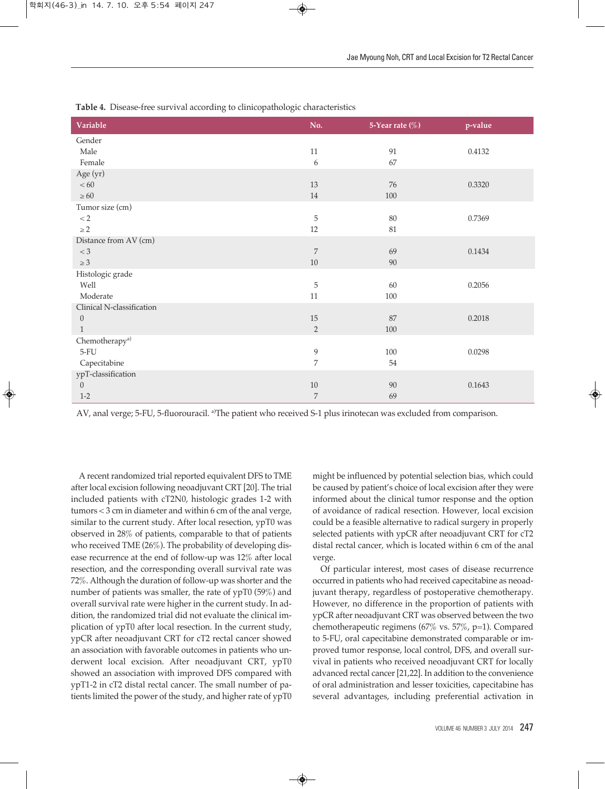| Variable                   | No.            | 5-Year rate $(\%)$ | p-value |
|----------------------------|----------------|--------------------|---------|
| Gender                     |                |                    |         |
| Male                       | 11             | 91                 | 0.4132  |
| Female                     | 6              | 67                 |         |
| Age (yr)                   |                |                    |         |
| $< 60\,$                   | 13             | 76                 | 0.3320  |
| $\geq 60$                  | 14             | $100\,$            |         |
| Tumor size (cm)            |                |                    |         |
| $\rm < 2$                  | 5              | 80                 | 0.7369  |
| $\geq 2$                   | 12             | $81\,$             |         |
| Distance from AV (cm)      |                |                    |         |
| $< 3\,$                    | $\overline{7}$ | 69                 | 0.1434  |
| $\geq 3$                   | $10\,$         | $90\,$             |         |
| Histologic grade           |                |                    |         |
| Well                       | $\mathbf 5$    | 60                 | 0.2056  |
| Moderate                   | 11             | $100\,$            |         |
| Clinical N-classification  |                |                    |         |
| $\theta$                   | 15             | 87                 | 0.2018  |
| $\mathbf{1}$               | 2              | $100\,$            |         |
| Chemotherapy <sup>a)</sup> |                |                    |         |
| $5-FU$                     | 9              | $100\,$            | 0.0298  |
| Capecitabine               | 7              | $54\,$             |         |
| ypT-classification         |                |                    |         |
| $\boldsymbol{0}$           | $10\,$         | 90                 | 0.1643  |
| $1-2$                      | $\overline{7}$ | 69                 |         |

**Table 4.** Disease-free survival according to clinicopathologic characteristics

AV, anal verge; 5-FU, 5-fluorouracil. <sup>a</sup>The patient who received S-1 plus irinotecan was excluded from comparison.

A recent randomized trial reported equivalent DFS to TME after local excision following neoadjuvant CRT [20]. The trial included patients with cT2N0, histologic grades 1-2 with tumors < 3 cm in diameter and within 6 cm of the anal verge, similar to the current study. After local resection, ypT0 was observed in 28% of patients, comparable to that of patients who received TME (26%). The probability of developing disease recurrence at the end of follow-up was 12% after local resection, and the corresponding overall survival rate was 72%. Although the duration of follow-up was shorter and the number of patients was smaller, the rate of ypT0 (59%) and overall survival rate were higher in the current study. In addition, the randomized trial did not evaluate the clinical implication of ypT0 after local resection. In the current study, ypCR after neoadjuvant CRT for cT2 rectal cancer showed an association with favorable outcomes in patients who underwent local excision. After neoadjuvant CRT, ypT0 showed an association with improved DFS compared with ypT1-2 in cT2 distal rectal cancer. The small number of patients limited the power of the study, and higher rate of ypT0

might be influenced by potential selection bias, which could be caused by patient's choice of local excision after they were informed about the clinical tumor response and the option of avoidance of radical resection. However, local excision could be a feasible alternative to radical surgery in properly selected patients with ypCR after neoadjuvant CRT for cT2 distal rectal cancer, which is located within 6 cm of the anal verge.

Of particular interest, most cases of disease recurrence occurred in patients who had received capecitabine as neoadjuvant therapy, regardless of postoperative chemotherapy. However, no difference in the proportion of patients with ypCR after neoadjuvant CRT was observed between the two chemotherapeutic regimens (67% vs. 57%, p=1). Compared to 5-FU, oral capecitabine demonstrated comparable or improved tumor response, local control, DFS, and overall survival in patients who received neoadjuvant CRT for locally advanced rectal cancer [21,22]. In addition to the convenience of oral administration and lesser toxicities, capecitabine has several advantages, including preferential activation in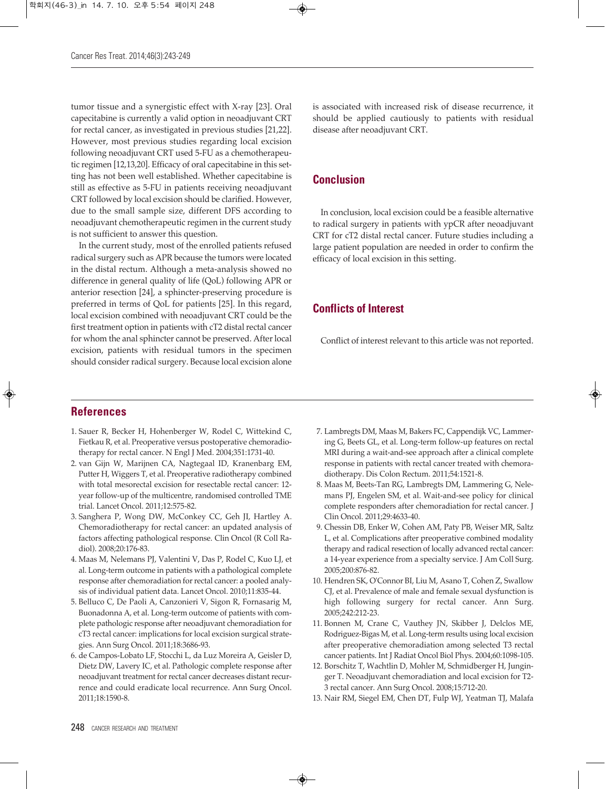tumor tissue and a synergistic effect with X-ray [23]. Oral capecitabine is currently a valid option in neoadjuvant CRT for rectal cancer, as investigated in previous studies [21,22]. However, most previous studies regarding local excision following neoadjuvant CRT used 5-FU as a chemotherapeutic regimen [12,13,20]. Efficacy of oral capecitabine in this setting has not been well established. Whether capecitabine is still as effective as 5-FU in patients receiving neoadjuvant CRT followed by local excision should be clarified. However, due to the small sample size, different DFS according to neoadjuvant chemotherapeutic regimen in the current study is not sufficient to answer this question.

In the current study, most of the enrolled patients refused radical surgery such as APR because the tumors were located in the distal rectum. Although a meta-analysis showed no difference in general quality of life (QoL) following APR or anterior resection [24], a sphincter-preserving procedure is preferred in terms of QoL for patients [25]. In this regard, local excision combined with neoadjuvant CRT could be the first treatment option in patients with cT2 distal rectal cancer for whom the anal sphincter cannot be preserved. After local excision, patients with residual tumors in the specimen should consider radical surgery. Because local excision alone

is associated with increased risk of disease recurrence, it should be applied cautiously to patients with residual disease after neoadjuvant CRT.

# **Conclusion**

In conclusion, local excision could be a feasible alternative to radical surgery in patients with ypCR after neoadjuvant CRT for cT2 distal rectal cancer. Future studies including a large patient population are needed in order to confirm the efficacy of local excision in this setting.

# **Conflicts of Interest**

Conflict of interest relevant to this article was not reported.

## **References**

- 1. Sauer R, Becker H, Hohenberger W, Rodel C, Wittekind C, Fietkau R, et al. Preoperative versus postoperative chemoradiotherapy for rectal cancer. N Engl J Med. 2004;351:1731-40.
- 2. van Gijn W, Marijnen CA, Nagtegaal ID, Kranenbarg EM, Putter H, Wiggers T, et al. Preoperative radiotherapy combined with total mesorectal excision for resectable rectal cancer: 12 year follow-up of the multicentre, randomised controlled TME trial. Lancet Oncol. 2011;12:575-82.
- 3. Sanghera P, Wong DW, McConkey CC, Geh JI, Hartley A. Chemoradiotherapy for rectal cancer: an updated analysis of factors affecting pathological response. Clin Oncol (R Coll Radiol). 2008;20:176-83.
- 4. Maas M, Nelemans PJ, Valentini V, Das P, Rodel C, Kuo LJ, et al. Long-term outcome in patients with a pathological complete response after chemoradiation for rectal cancer: a pooled analysis of individual patient data. Lancet Oncol. 2010;11:835-44.
- 5. Belluco C, De Paoli A, Canzonieri V, Sigon R, Fornasarig M, Buonadonna A, et al. Long-term outcome of patients with complete pathologic response after neoadjuvant chemoradiation for cT3 rectal cancer: implications for local excision surgical strategies. Ann Surg Oncol. 2011;18:3686-93.
- 6. de Campos-Lobato LF, Stocchi L, da Luz Moreira A, Geisler D, Dietz DW, Lavery IC, et al. Pathologic complete response after neoadjuvant treatment for rectal cancer decreases distant recurrence and could eradicate local recurrence. Ann Surg Oncol. 2011;18:1590-8.
- 7. Lambregts DM, Maas M, Bakers FC, Cappendijk VC, Lammering G, Beets GL, et al. Long-term follow-up features on rectal MRI during a wait-and-see approach after a clinical complete response in patients with rectal cancer treated with chemoradiotherapy. Dis Colon Rectum. 2011;54:1521-8.
- 8. Maas M, Beets-Tan RG, Lambregts DM, Lammering G, Nelemans PJ, Engelen SM, et al. Wait-and-see policy for clinical complete responders after chemoradiation for rectal cancer. J Clin Oncol. 2011;29:4633-40.
- 9. Chessin DB, Enker W, Cohen AM, Paty PB, Weiser MR, Saltz L, et al. Complications after preoperative combined modality therapy and radical resection of locally advanced rectal cancer: a 14-year experience from a specialty service. J Am Coll Surg. 2005;200:876-82.
- 10. Hendren SK, O'Connor BI, Liu M, Asano T, Cohen Z, Swallow CJ, et al. Prevalence of male and female sexual dysfunction is high following surgery for rectal cancer. Ann Surg. 2005;242:212-23.
- 11. Bonnen M, Crane C, Vauthey JN, Skibber J, Delclos ME, Rodriguez-Bigas M, et al. Long-term results using local excision after preoperative chemoradiation among selected T3 rectal cancer patients. Int J Radiat Oncol Biol Phys. 2004;60:1098-105.
- 12. Borschitz T, Wachtlin D, Mohler M, Schmidberger H, Junginger T. Neoadjuvant chemoradiation and local excision for T2- 3 rectal cancer. Ann Surg Oncol. 2008;15:712-20.
- 13. Nair RM, Siegel EM, Chen DT, Fulp WJ, Yeatman TJ, Malafa